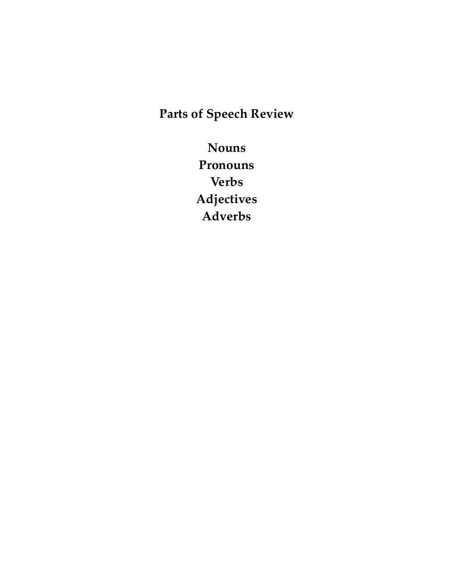**Parts of Speech Review** 

**Nouns Pronouns Verbs Adjectives Adverbs**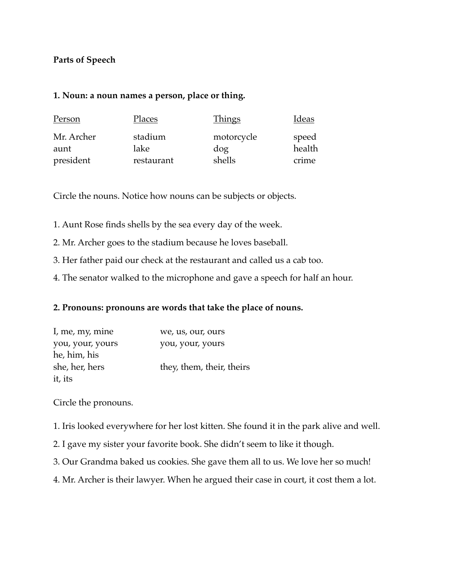## **Parts of Speech**

#### **1. Noun: a noun names a person, place or thing.**

| Person     | Places     | <u>Things</u> | Ideas  |
|------------|------------|---------------|--------|
| Mr. Archer | stadium    | motorcycle    | speed  |
| aunt       | lake       | dog           | health |
| president  | restaurant | shells        | crime  |

Circle the nouns. Notice how nouns can be subjects or objects.

- 1. Aunt Rose finds shells by the sea every day of the week.
- 2. Mr. Archer goes to the stadium because he loves baseball.
- 3. Her father paid our check at the restaurant and called us a cab too.
- 4. The senator walked to the microphone and gave a speech for half an hour.

## **2. Pronouns: pronouns are words that take the place of nouns.**

| I, me, my, mine  | we, us, our, ours         |
|------------------|---------------------------|
| you, your, yours | you, your, yours          |
| he, him, his     |                           |
| she, her, hers   | they, them, their, theirs |
| it, its          |                           |

Circle the pronouns.

1. Iris looked everywhere for her lost kitten. She found it in the park alive and well.

- 2. I gave my sister your favorite book. She didn't seem to like it though.
- 3. Our Grandma baked us cookies. She gave them all to us. We love her so much!
- 4. Mr. Archer is their lawyer. When he argued their case in court, it cost them a lot.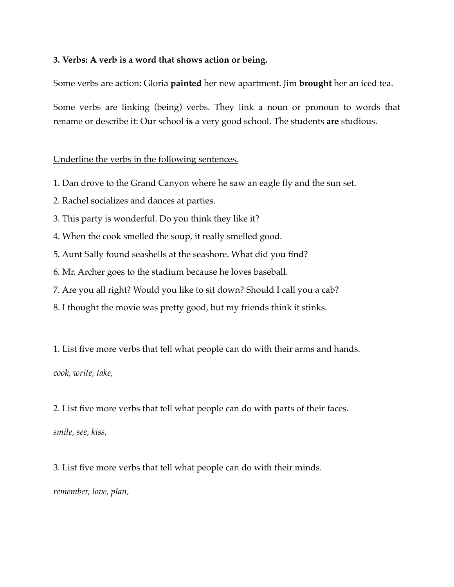### **3. Verbs: A verb is a word that shows action or being.**

Some verbs are action: Gloria **painted** her new apartment. Jim **brought** her an iced tea.

Some verbs are linking (being) verbs. They link a noun or pronoun to words that rename or describe it: Our school **is** a very good school. The students **are** studious.

### Underline the verbs in the following sentences.

- 1. Dan drove to the Grand Canyon where he saw an eagle fly and the sun set.
- 2. Rachel socializes and dances at parties.
- 3. This party is wonderful. Do you think they like it?
- 4. When the cook smelled the soup, it really smelled good.
- 5. Aunt Sally found seashells at the seashore. What did you find?
- 6. Mr. Archer goes to the stadium because he loves baseball.
- 7. Are you all right? Would you like to sit down? Should I call you a cab?
- 8. I thought the movie was pretty good, but my friends think it stinks.

1. List five more verbs that tell what people can do with their arms and hands. *cook, write, take,* 

2. List five more verbs that tell what people can do with parts of their faces.

*smile, see, kiss,* 

3. List five more verbs that tell what people can do with their minds. *remember, love, plan,*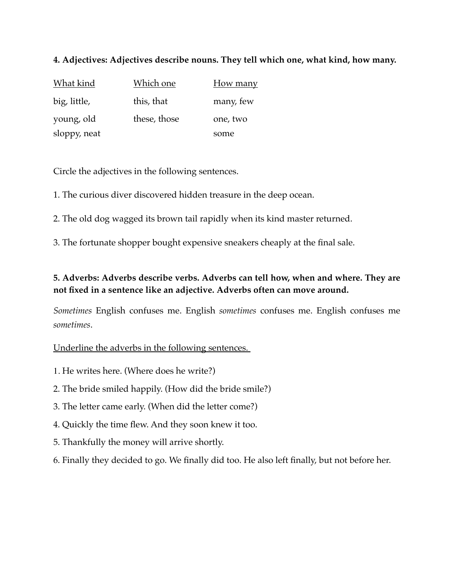## **4. Adjectives: Adjectives describe nouns. They tell which one, what kind, how many.**

| <u>What kind</u> | <b>Which one</b> | <b>How many</b> |
|------------------|------------------|-----------------|
| big, little,     | this, that       | many, few       |
| young, old       | these, those     | one, two        |
| sloppy, neat     |                  | some            |

Circle the adjectives in the following sentences.

1. The curious diver discovered hidden treasure in the deep ocean.

2. The old dog wagged its brown tail rapidly when its kind master returned.

3. The fortunate shopper bought expensive sneakers cheaply at the final sale.

# **5. Adverbs: Adverbs describe verbs. Adverbs can tell how, when and where. They are not fixed in a sentence like an adjective. Adverbs often can move around.**

*Sometimes* English confuses me. English *sometimes* confuses me. English confuses me *sometimes*.

## Underline the adverbs in the following sentences.

- 1. He writes here. (Where does he write?)
- 2. The bride smiled happily. (How did the bride smile?)
- 3. The letter came early. (When did the letter come?)
- 4. Quickly the time flew. And they soon knew it too.
- 5. Thankfully the money will arrive shortly.
- 6. Finally they decided to go. We finally did too. He also left finally, but not before her.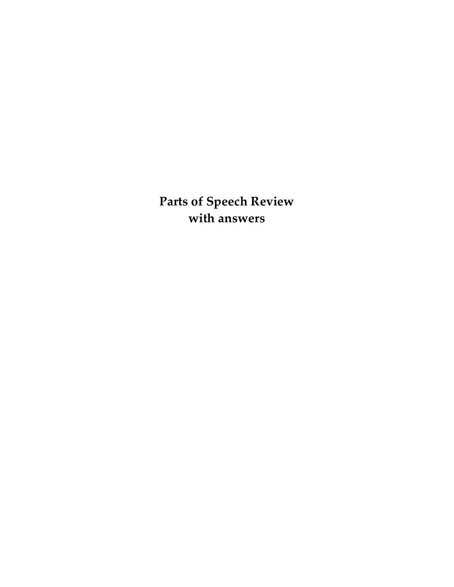**Parts of Speech Review with answers**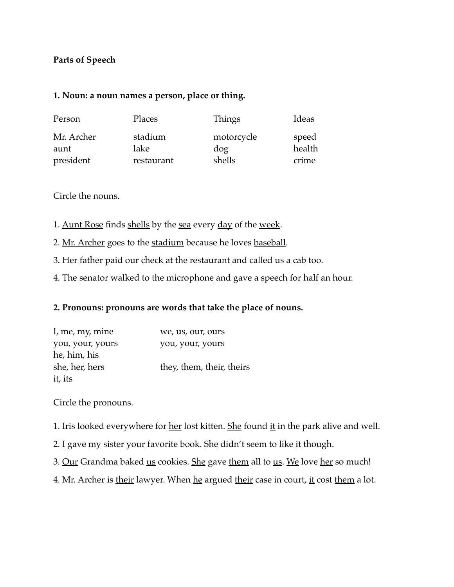## **Parts of Speech**

#### **1. Noun: a noun names a person, place or thing.**

| Person     | Places     | <b>Things</b> | Ideas  |
|------------|------------|---------------|--------|
| Mr. Archer | stadium    | motorcycle    | speed  |
| aunt       | lake       | dog           | health |
| president  | restaurant | shells        | crime  |

Circle the nouns.

- 1. Aunt Rose finds shells by the sea every day of the week.
- 2. Mr. Archer goes to the stadium because he loves baseball.
- 3. Her father paid our check at the restaurant and called us a cab too.
- 4. The senator walked to the microphone and gave a speech for half an hour.

## **2. Pronouns: pronouns are words that take the place of nouns.**

| I, me, my, mine  | we, us, our, ours         |
|------------------|---------------------------|
| you, your, yours | you, your, yours          |
| he, him, his     |                           |
| she, her, hers   | they, them, their, theirs |
| it, its          |                           |

Circle the pronouns.

- 1. Iris looked everywhere for her lost kitten. She found it in the park alive and well.
- 2. I gave my sister your favorite book. She didn't seem to like it though.
- 3. Our Grandma baked us cookies. She gave them all to us. We love her so much!
- 4. Mr. Archer is their lawyer. When he argued their case in court, it cost them a lot.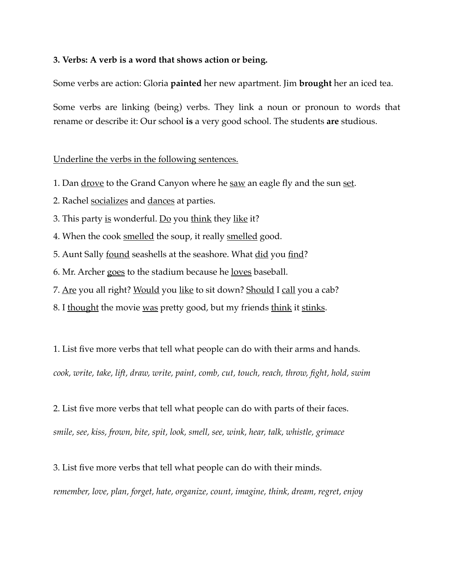### **3. Verbs: A verb is a word that shows action or being.**

Some verbs are action: Gloria **painted** her new apartment. Jim **brought** her an iced tea.

Some verbs are linking (being) verbs. They link a noun or pronoun to words that rename or describe it: Our school **is** a very good school. The students **are** studious.

### Underline the verbs in the following sentences.

- 1. Dan <u>drove</u> to the Grand Canyon where he saw an eagle fly and the sun set.
- 2. Rachel socializes and dances at parties.
- 3. This party <u>is</u> wonderful. <u>Do</u> you think they like it?
- 4. When the cook smelled the soup, it really smelled good.
- 5. Aunt Sally <u>found</u> seashells at the seashore. What did you find?
- 6. Mr. Archer goes to the stadium because he <u>loves</u> baseball.
- 7. Are you all right? Would you like to sit down? Should I call you a cab?
- 8. I thought the movie was pretty good, but my friends think it stinks.

1. List five more verbs that tell what people can do with their arms and hands.

*cook, write, take, lift, draw, write, paint, comb, cut, touch, reach, throw, fight, hold, swim* 

2. List five more verbs that tell what people can do with parts of their faces.

*smile, see, kiss, frown, bite, spit, look, smell, see, wink, hear, talk, whistle, grimace* 

3. List five more verbs that tell what people can do with their minds.

*remember, love, plan, forget, hate, organize, count, imagine, think, dream, regret, enjoy*